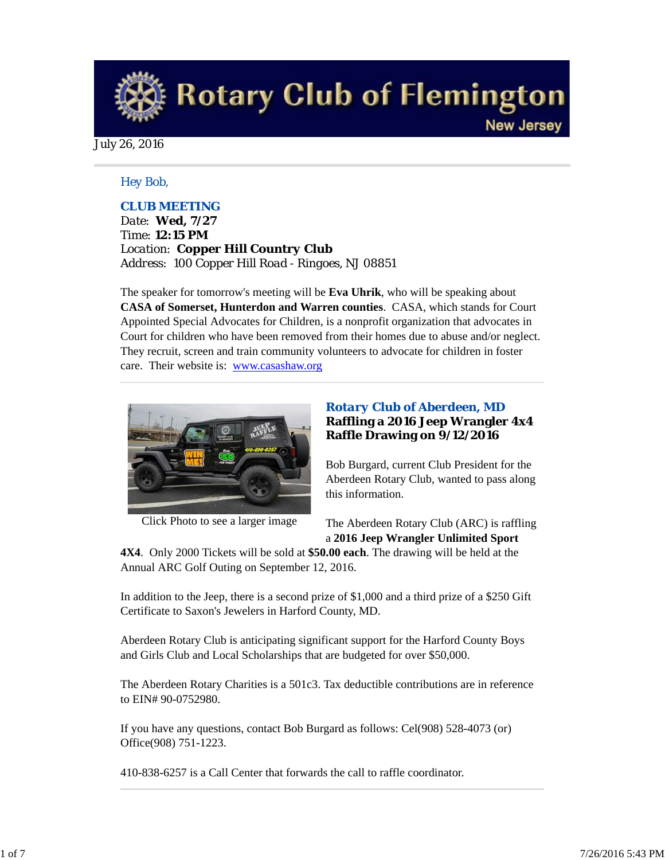# **Rotary Club of Flemington**

July 26, 2016

## *Hey Bob,*

# *CLUB MEETING*

*Date: Wed, 7/27 Time: 12:15 PM Location: Copper Hill Country Club Address: 100 Copper Hill Road - Ringoes, NJ 08851*

The speaker for tomorrow's meeting will be **Eva Uhrik**, who will be speaking about **CASA of Somerset, Hunterdon and Warren counties**. CASA, which stands for Court Appointed Special Advocates for Children, is a nonprofit organization that advocates in Court for children who have been removed from their homes due to abuse and/or neglect. They recruit, screen and train community volunteers to advocate for children in foster care. Their website is: www.casashaw.org



Click Photo to see a larger image

# *Rotary Club of Aberdeen, MD* **Raffling a 2016 Jeep Wrangler 4x4 Raffle Drawing on 9/12/2016**

**New Jersey** 

Bob Burgard, current Club President for the Aberdeen Rotary Club, wanted to pass along this information.

The Aberdeen Rotary Club (ARC) is raffling a **2016 Jeep Wrangler Unlimited Sport**

**4X4**. Only 2000 Tickets will be sold at **\$50.00 each**. The drawing will be held at the Annual ARC Golf Outing on September 12, 2016.

In addition to the Jeep, there is a second prize of \$1,000 and a third prize of a \$250 Gift Certificate to Saxon's Jewelers in Harford County, MD.

Aberdeen Rotary Club is anticipating significant support for the Harford County Boys and Girls Club and Local Scholarships that are budgeted for over \$50,000.

The Aberdeen Rotary Charities is a 501c3. Tax deductible contributions are in reference to EIN# 90-0752980.

If you have any questions, contact Bob Burgard as follows: Cel(908) 528-4073 (or) Office(908) 751-1223.

410-838-6257 is a Call Center that forwards the call to raffle coordinator.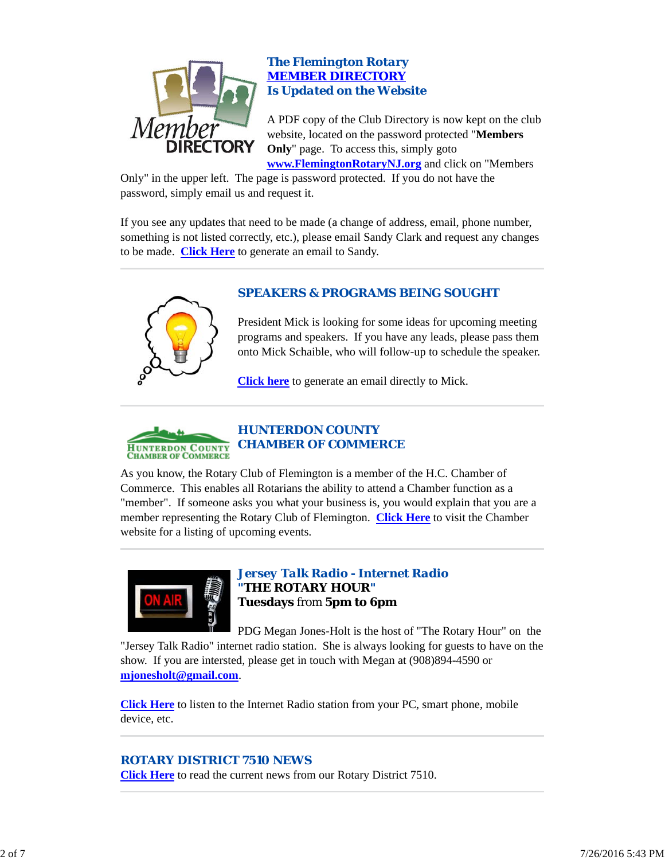

# *The Flemington Rotary MEMBER DIRECTORY Is Updated on the Website*

A PDF copy of the Club Directory is now kept on the club website, located on the password protected "**Members Only**" page. To access this, simply goto **www.FlemingtonRotaryNJ.org** and click on "Members

Only" in the upper left. The page is password protected. If you do not have the password, simply email us and request it.

If you see any updates that need to be made (a change of address, email, phone number, something is not listed correctly, etc.), please email Sandy Clark and request any changes to be made. **Click Here** to generate an email to Sandy.



# *SPEAKERS & PROGRAMS BEING SOUGHT*

President Mick is looking for some ideas for upcoming meeting programs and speakers. If you have any leads, please pass them onto Mick Schaible, who will follow-up to schedule the speaker.

**Click here** to generate an email directly to Mick.



As you know, the Rotary Club of Flemington is a member of the H.C. Chamber of Commerce. This enables all Rotarians the ability to attend a Chamber function as a "member". If someone asks you what your business is, you would explain that you are a member representing the Rotary Club of Flemington. **Click Here** to visit the Chamber website for a listing of upcoming events.



# *Jersey Talk Radio - Internet Radio "THE ROTARY HOUR"* **Tuesdays** from **5pm to 6pm**

PDG Megan Jones-Holt is the host of "The Rotary Hour" on the "Jersey Talk Radio" internet radio station. She is always looking for guests to have on the show. If you are intersted, please get in touch with Megan at (908)894-4590 or **mjonesholt@gmail.com**.

**Click Here** to listen to the Internet Radio station from your PC, smart phone, mobile device, etc.

# *ROTARY DISTRICT 7510 NEWS*

**Click Here** to read the current news from our Rotary District 7510.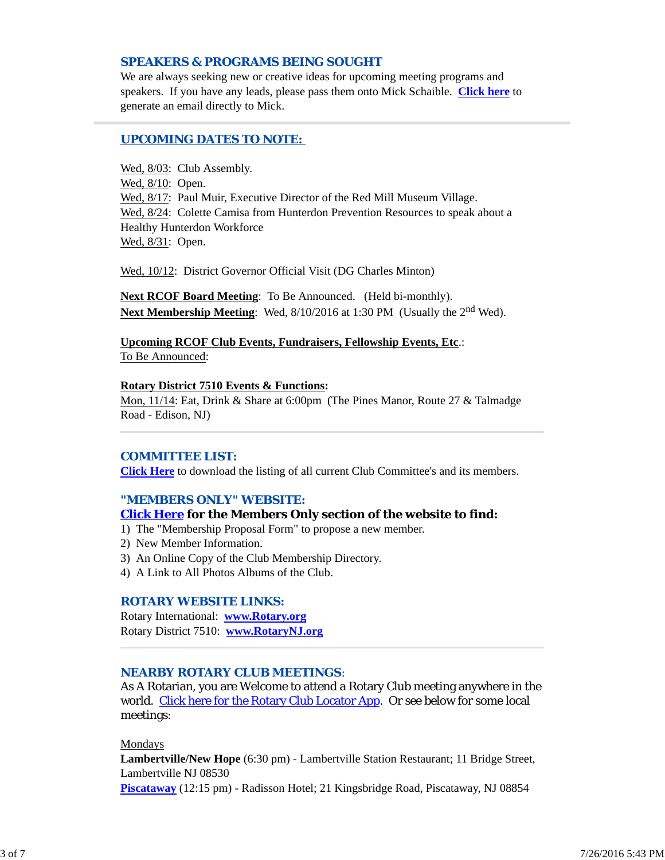## *SPEAKERS & PROGRAMS BEING SOUGHT*

We are always seeking new or creative ideas for upcoming meeting programs and speakers. If you have any leads, please pass them onto Mick Schaible. **Click here** to generate an email directly to Mick.

## *UPCOMING DATES TO NOTE:*

Wed, 8/03: Club Assembly. Wed, 8/10: Open. Wed, 8/17: Paul Muir, Executive Director of the Red Mill Museum Village. Wed, 8/24: Colette Camisa from Hunterdon Prevention Resources to speak about a Healthy Hunterdon Workforce Wed, 8/31: Open.

Wed, 10/12: District Governor Official Visit (DG Charles Minton)

**Next RCOF Board Meeting**: To Be Announced. (Held bi-monthly). **Next Membership Meeting:** Wed, 8/10/2016 at 1:30 PM (Usually the 2<sup>nd</sup> Wed).

**Upcoming RCOF Club Events, Fundraisers, Fellowship Events, Etc**.: To Be Announced:

#### **Rotary District 7510 Events & Functions:**

Mon, 11/14: Eat, Drink & Share at 6:00pm (The Pines Manor, Route 27 & Talmadge Road - Edison, NJ)

#### *COMMITTEE LIST:*

**Click Here** to download the listing of all current Club Committee's and its members.

## *"MEMBERS ONLY" WEBSITE:*

## **Click Here for the Members Only section of the website to find:**

1) The "Membership Proposal Form" to propose a new member.

- 2) New Member Information.
- 3) An Online Copy of the Club Membership Directory.
- 4) A Link to All Photos Albums of the Club.

#### *ROTARY WEBSITE LINKS:*

Rotary International: **www.Rotary.org** Rotary District 7510: **www.RotaryNJ.org**

#### *NEARBY ROTARY CLUB MEETINGS:*

As A Rotarian, you are Welcome to attend a Rotary Club meeting anywhere in the world. Click here for the Rotary Club Locator App. Or see below for some local meetings:

#### Mondays

**Lambertville/New Hope** (6:30 pm) - Lambertville Station Restaurant; 11 Bridge Street, Lambertville NJ 08530

**Piscataway** (12:15 pm) - Radisson Hotel; 21 Kingsbridge Road, Piscataway, NJ 08854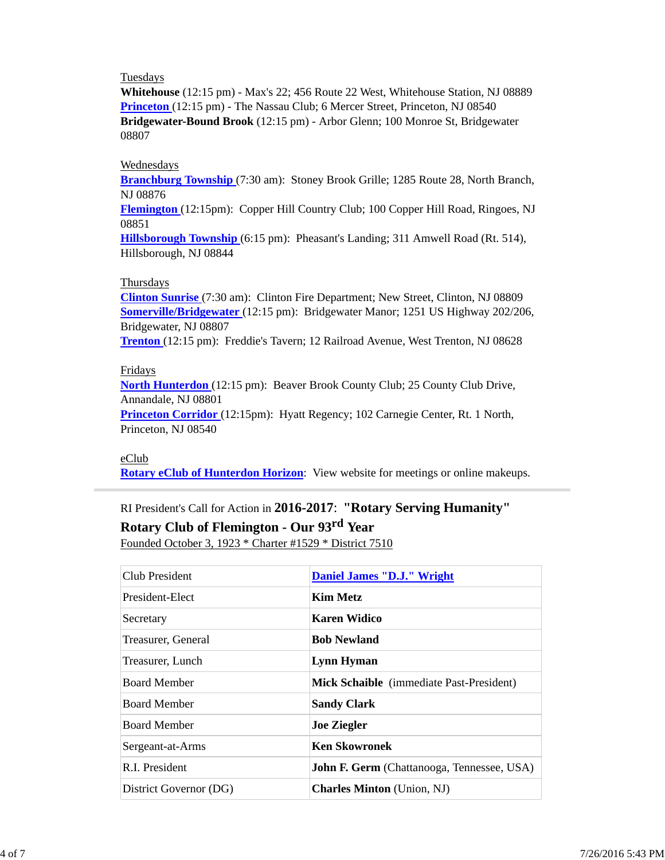## Tuesdays

**Whitehouse** (12:15 pm) - Max's 22; 456 Route 22 West, Whitehouse Station, NJ 08889 **Princeton** (12:15 pm) - The Nassau Club; 6 Mercer Street, Princeton, NJ 08540 **Bridgewater-Bound Brook** (12:15 pm) - Arbor Glenn; 100 Monroe St, Bridgewater 08807

#### Wednesdays

**Branchburg Township** (7:30 am): Stoney Brook Grille; 1285 Route 28, North Branch, NJ 08876

**Flemington** (12:15pm): Copper Hill Country Club; 100 Copper Hill Road, Ringoes, NJ 08851

**Hillsborough Township** (6:15 pm): Pheasant's Landing; 311 Amwell Road (Rt. 514), Hillsborough, NJ 08844

#### Thursdays

**Clinton Sunrise** (7:30 am): Clinton Fire Department; New Street, Clinton, NJ 08809 **Somerville/Bridgewater** (12:15 pm): Bridgewater Manor; 1251 US Highway 202/206, Bridgewater, NJ 08807

**Trenton** (12:15 pm): Freddie's Tavern; 12 Railroad Avenue, West Trenton, NJ 08628

#### Fridays

**North Hunterdon** (12:15 pm): Beaver Brook County Club; 25 County Club Drive, Annandale, NJ 08801

**Princeton Corridor** (12:15pm): Hyatt Regency; 102 Carnegie Center, Rt. 1 North, Princeton, NJ 08540

#### eClub

**Rotary eClub of Hunterdon Horizon**: View website for meetings or online makeups.

# RI President's Call for Action in **2016-2017**: **"Rotary Serving Humanity"**

**Rotary Club of Flemington - Our 93rd Year**

Founded October 3, 1923 \* Charter #1529 \* District 7510

| Club President         | <b>Daniel James "D.J." Wright</b>                 |
|------------------------|---------------------------------------------------|
| President-Elect        | Kim Metz                                          |
| Secretary              | <b>Karen Widico</b>                               |
| Treasurer, General     | <b>Bob Newland</b>                                |
| Treasurer, Lunch       | Lynn Hyman                                        |
| <b>Board Member</b>    | Mick Schaible (immediate Past-President)          |
| <b>Board Member</b>    | <b>Sandy Clark</b>                                |
| <b>Board Member</b>    | <b>Joe Ziegler</b>                                |
| Sergeant-at-Arms       | <b>Ken Skowronek</b>                              |
| R.I. President         | <b>John F. Germ</b> (Chattanooga, Tennessee, USA) |
| District Governor (DG) | <b>Charles Minton</b> (Union, NJ)                 |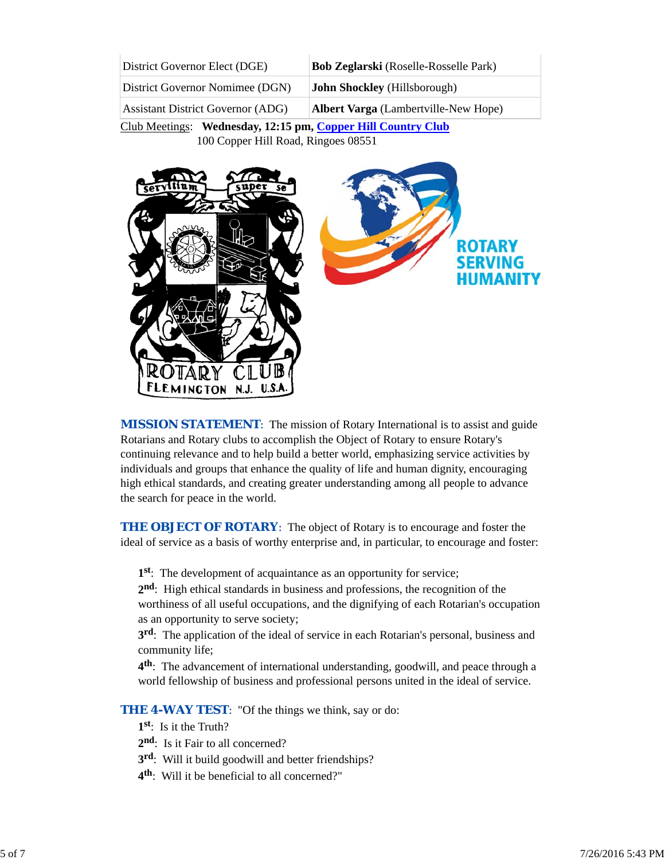| District Governor Elect (DGE)            | <b>Bob Zeglarski</b> (Roselle-Rosselle Park) |
|------------------------------------------|----------------------------------------------|
| District Governor Nomimee (DGN)          | <b>John Shockley</b> (Hillsborough)          |
| <b>Assistant District Governor (ADG)</b> | Albert Varga (Lambertville-New Hope)         |

Club Meetings: **Wednesday, 12:15 pm, Copper Hill Country Club** 100 Copper Hill Road, Ringoes 08551



*MISSION STATEMENT*: The mission of Rotary International is to assist and guide Rotarians and Rotary clubs to accomplish the Object of Rotary to ensure Rotary's continuing relevance and to help build a better world, emphasizing service activities by individuals and groups that enhance the quality of life and human dignity, encouraging high ethical standards, and creating greater understanding among all people to advance the search for peace in the world.

**THE OBJECT OF ROTARY:** The object of Rotary is to encourage and foster the ideal of service as a basis of worthy enterprise and, in particular, to encourage and foster:

**1st**: The development of acquaintance as an opportunity for service;

**2nd**: High ethical standards in business and professions, the recognition of the worthiness of all useful occupations, and the dignifying of each Rotarian's occupation as an opportunity to serve society;

**3rd**: The application of the ideal of service in each Rotarian's personal, business and community life;

**4th**: The advancement of international understanding, goodwill, and peace through a world fellowship of business and professional persons united in the ideal of service.

**THE 4-WAY TEST:** "Of the things we think, say or do:

- **1st**: Is it the Truth?
- 2<sup>nd</sup>: Is it Fair to all concerned?
- **3rd**: Will it build goodwill and better friendships?
- **4th**: Will it be beneficial to all concerned?"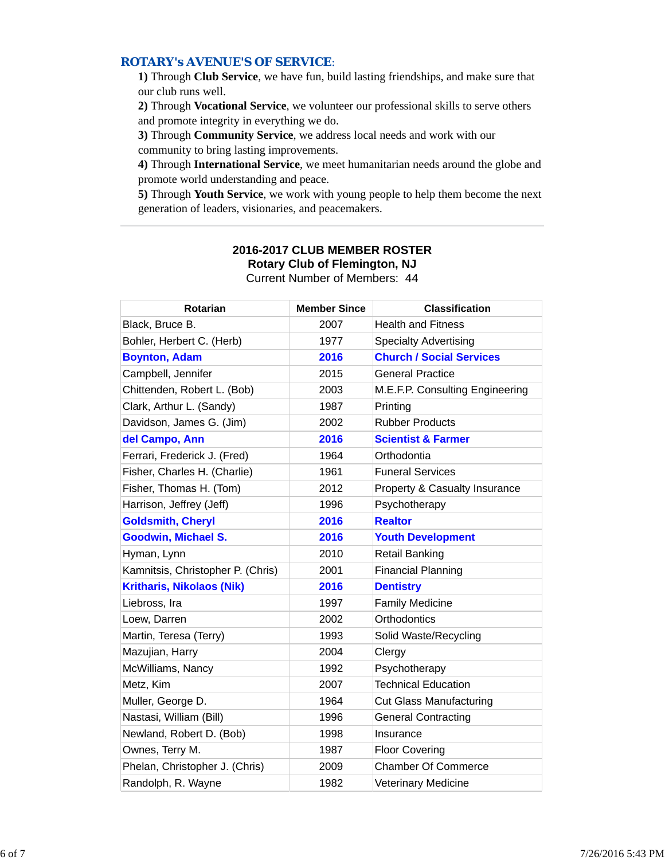## *ROTARY's AVENUE'S OF SERVICE*:

**1)** Through **Club Service**, we have fun, build lasting friendships, and make sure that our club runs well.

**2)** Through **Vocational Service**, we volunteer our professional skills to serve others and promote integrity in everything we do.

**3)** Through **Community Service**, we address local needs and work with our community to bring lasting improvements.

**4)** Through **International Service**, we meet humanitarian needs around the globe and promote world understanding and peace.

**5)** Through **Youth Service**, we work with young people to help them become the next generation of leaders, visionaries, and peacemakers.

| Rotarian                          | <b>Member Since</b> | <b>Classification</b>           |  |  |  |  |
|-----------------------------------|---------------------|---------------------------------|--|--|--|--|
| Black, Bruce B.                   | 2007                | <b>Health and Fitness</b>       |  |  |  |  |
| Bohler, Herbert C. (Herb)         | 1977                | <b>Specialty Advertising</b>    |  |  |  |  |
| <b>Boynton, Adam</b>              | 2016                | <b>Church / Social Services</b> |  |  |  |  |
| Campbell, Jennifer                | 2015                | <b>General Practice</b>         |  |  |  |  |
| Chittenden, Robert L. (Bob)       | 2003                | M.E.F.P. Consulting Engineering |  |  |  |  |
| Clark, Arthur L. (Sandy)          | 1987                | Printing                        |  |  |  |  |
| Davidson, James G. (Jim)          | 2002                | <b>Rubber Products</b>          |  |  |  |  |
| del Campo, Ann                    | 2016                | <b>Scientist &amp; Farmer</b>   |  |  |  |  |
| Ferrari, Frederick J. (Fred)      | 1964                | Orthodontia                     |  |  |  |  |
| Fisher, Charles H. (Charlie)      | 1961                | <b>Funeral Services</b>         |  |  |  |  |
| Fisher, Thomas H. (Tom)           | 2012                | Property & Casualty Insurance   |  |  |  |  |
| Harrison, Jeffrey (Jeff)          | 1996                | Psychotherapy                   |  |  |  |  |
| <b>Goldsmith, Cheryl</b>          | 2016                | <b>Realtor</b>                  |  |  |  |  |
| <b>Goodwin, Michael S.</b>        | 2016                | <b>Youth Development</b>        |  |  |  |  |
| Hyman, Lynn                       | 2010                | <b>Retail Banking</b>           |  |  |  |  |
| Kamnitsis, Christopher P. (Chris) | 2001                | <b>Financial Planning</b>       |  |  |  |  |
| <b>Kritharis, Nikolaos (Nik)</b>  | 2016                | <b>Dentistry</b>                |  |  |  |  |
| Liebross, Ira                     | 1997                | <b>Family Medicine</b>          |  |  |  |  |
| Loew, Darren                      | 2002                | Orthodontics                    |  |  |  |  |
| Martin, Teresa (Terry)            | 1993                | Solid Waste/Recycling           |  |  |  |  |
| Mazujian, Harry                   | 2004                | Clergy                          |  |  |  |  |
| McWilliams, Nancy                 | 1992                | Psychotherapy                   |  |  |  |  |
| Metz, Kim                         | 2007                | <b>Technical Education</b>      |  |  |  |  |
| Muller, George D.                 | 1964                | <b>Cut Glass Manufacturing</b>  |  |  |  |  |
| Nastasi, William (Bill)           | 1996                | <b>General Contracting</b>      |  |  |  |  |
| Newland, Robert D. (Bob)          | 1998                | Insurance                       |  |  |  |  |
| Ownes, Terry M.                   | 1987                | <b>Floor Covering</b>           |  |  |  |  |
| Phelan, Christopher J. (Chris)    | 2009                | <b>Chamber Of Commerce</b>      |  |  |  |  |
| Randolph, R. Wayne                | 1982                | <b>Veterinary Medicine</b>      |  |  |  |  |

## **2016-2017 CLUB MEMBER ROSTER Rotary Club of Flemington, NJ** Current Number of Members: 44